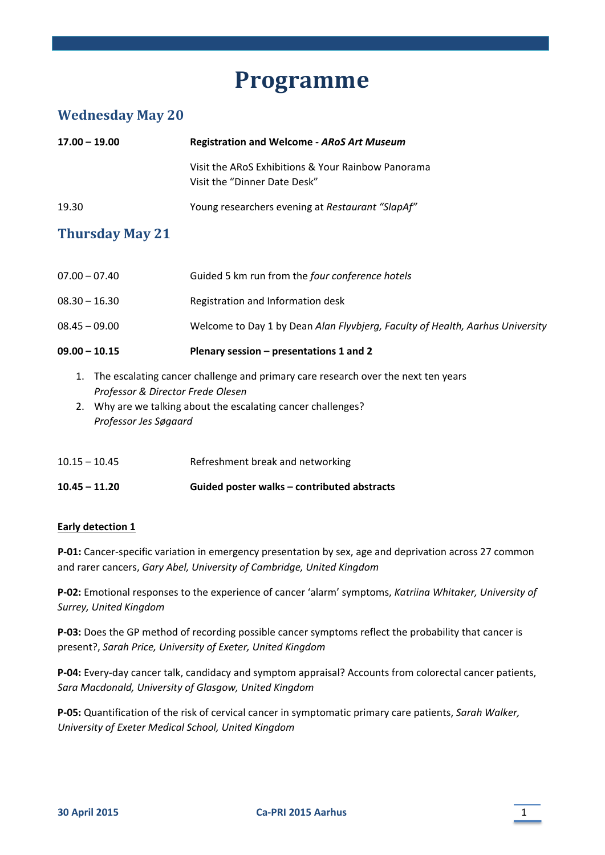# **Programme**

# **Wednesday May 20**

| $17.00 - 19.00$                                                                                                                                                                                                        | <b>Registration and Welcome - ARoS Art Museum</b>                                  |  |
|------------------------------------------------------------------------------------------------------------------------------------------------------------------------------------------------------------------------|------------------------------------------------------------------------------------|--|
|                                                                                                                                                                                                                        | Visit the ARoS Exhibitions & Your Rainbow Panorama<br>Visit the "Dinner Date Desk" |  |
| 19.30                                                                                                                                                                                                                  | Young researchers evening at Restaurant "SlapAf"                                   |  |
| <b>Thursday May 21</b>                                                                                                                                                                                                 |                                                                                    |  |
| $07.00 - 07.40$                                                                                                                                                                                                        | Guided 5 km run from the four conference hotels                                    |  |
| $08.30 - 16.30$                                                                                                                                                                                                        | Registration and Information desk                                                  |  |
| $08.45 - 09.00$                                                                                                                                                                                                        | Welcome to Day 1 by Dean Alan Flyvbjerg, Faculty of Health, Aarhus University      |  |
| $09.00 - 10.15$                                                                                                                                                                                                        | Plenary session - presentations 1 and 2                                            |  |
| The escalating cancer challenge and primary care research over the next ten years<br>1.<br>Professor & Director Frede Olesen<br>2. Why are we talking about the escalating cancer challenges?<br>Professor Jes Søgaard |                                                                                    |  |
| $10.15 - 10.45$                                                                                                                                                                                                        | Refreshment break and networking                                                   |  |
| $10.45 - 11.20$                                                                                                                                                                                                        | Guided poster walks - contributed abstracts                                        |  |

# **Early detection 1**

**P‐01:** Cancer‐specific variation in emergency presentation by sex, age and deprivation across 27 common and rarer cancers, *Gary Abel, University of Cambridge, United Kingdom*

**P‐02:** Emotional responses to the experience of cancer 'alarm' symptoms, *Katriina Whitaker, University of Surrey, United Kingdom*

**P‐03:** Does the GP method of recording possible cancer symptoms reflect the probability that cancer is present?, *Sarah Price, University of Exeter, United Kingdom*

**P‐04:** Every‐day cancer talk, candidacy and symptom appraisal? Accounts from colorectal cancer patients, *Sara Macdonald, University of Glasgow, United Kingdom*

**P‐05:** Quantification of the risk of cervical cancer in symptomatic primary care patients, *Sarah Walker, University of Exeter Medical School, United Kingdom*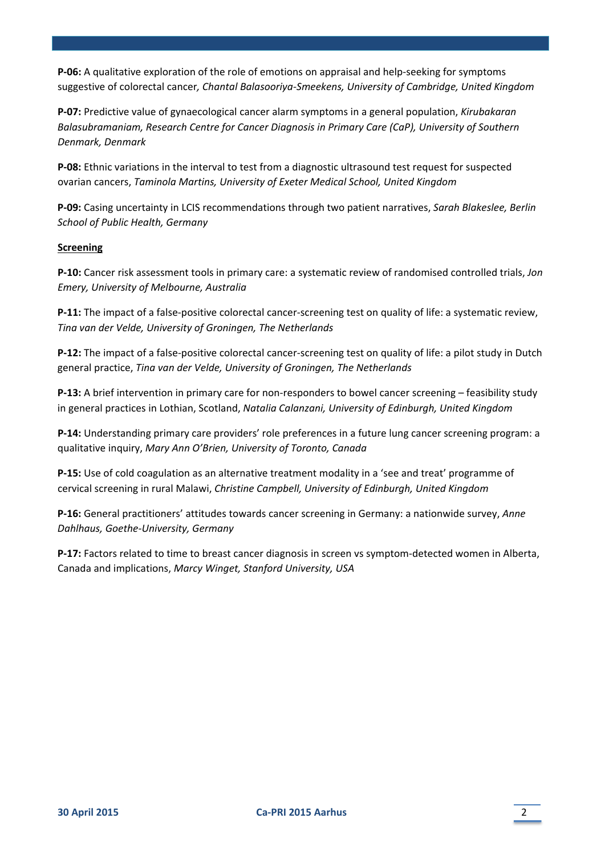**P-06:** A qualitative exploration of the role of emotions on appraisal and help-seeking for symptoms suggestive of colorectal cancer*, Chantal Balasooriya‐Smeekens, University of Cambridge, United Kingdom*

**P‐07:** Predictive value of gynaecological cancer alarm symptoms in a general population, *Kirubakaran Balasubramaniam, Research Centre for Cancer Diagnosis in Primary Care (CaP), University of Southern Denmark, Denmark*

**P‐08:** Ethnic variations in the interval to test from a diagnostic ultrasound test request for suspected ovarian cancers, *Taminola Martins, University of Exeter Medical School, United Kingdom*

**P‐09:** Casing uncertainty in LCIS recommendations through two patient narratives, *Sarah Blakeslee, Berlin School of Public Health, Germany*

#### **Screening**

**P‐10:** Cancer risk assessment tools in primary care: a systematic review of randomised controlled trials, *Jon Emery, University of Melbourne, Australia*

**P‐11:** The impact of a false‐positive colorectal cancer‐screening test on quality of life: a systematic review, *Tina van der Velde, University of Groningen, The Netherlands*

**P‐12:** The impact of a false‐positive colorectal cancer‐screening test on quality of life: a pilot study in Dutch general practice, *Tina van der Velde, University of Groningen, The Netherlands*

**P‐13:** A brief intervention in primary care for non‐responders to bowel cancer screening – feasibility study in general practices in Lothian, Scotland, *Natalia Calanzani, University of Edinburgh, United Kingdom*

**P‐14:** Understanding primary care providers' role preferences in a future lung cancer screening program: a qualitative inquiry, *Mary Ann O'Brien, University of Toronto, Canada*

**P-15:** Use of cold coagulation as an alternative treatment modality in a 'see and treat' programme of cervical screening in rural Malawi, *Christine Campbell, University of Edinburgh, United Kingdom*

**P‐16:** General practitioners' attitudes towards cancer screening in Germany: a nationwide survey, *Anne Dahlhaus, Goethe‐University, Germany*

**P‐17:** Factors related to time to breast cancer diagnosis in screen vs symptom‐detected women in Alberta, Canada and implications, *Marcy Winget, Stanford University, USA*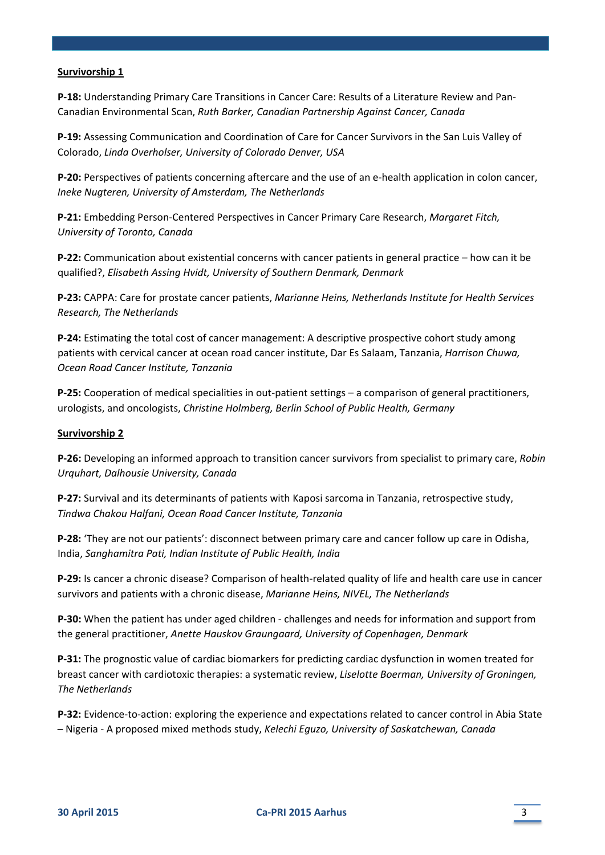#### **Survivorship 1**

**P‐18:** Understanding Primary Care Transitions in Cancer Care: Results of a Literature Review and Pan‐ Canadian Environmental Scan, *Ruth Barker, Canadian Partnership Against Cancer, Canada*

**P‐19:** Assessing Communication and Coordination of Care for Cancer Survivors in the San Luis Valley of Colorado, *Linda Overholser, University of Colorado Denver, USA*

**P‐20:** Perspectives of patients concerning aftercare and the use of an e‐health application in colon cancer, *Ineke Nugteren, University of Amsterdam, The Netherlands*

**P‐21:** Embedding Person‐Centered Perspectives in Cancer Primary Care Research, *Margaret Fitch, University of Toronto, Canada*

**P‐22:** Communication about existential concerns with cancer patients in general practice – how can it be qualified?, *Elisabeth Assing Hvidt, University of Southern Denmark, Denmark*

**P‐23:** CAPPA: Care for prostate cancer patients, *Marianne Heins, Netherlands Institute for Health Services Research, The Netherlands*

**P‐24:** Estimating the total cost of cancer management: A descriptive prospective cohort study among patients with cervical cancer at ocean road cancer institute, Dar Es Salaam, Tanzania, *Harrison Chuwa, Ocean Road Cancer Institute, Tanzania*

**P‐25:** Cooperation of medical specialities in out‐patient settings – a comparison of general practitioners, urologists, and oncologists, *Christine Holmberg, Berlin School of Public Health, Germany*

#### **Survivorship 2**

**P‐26:** Developing an informed approach to transition cancer survivors from specialist to primary care, *Robin Urquhart, Dalhousie University, Canada*

**P‐27:** Survival and its determinants of patients with Kaposi sarcoma in Tanzania, retrospective study, *Tindwa Chakou Halfani, Ocean Road Cancer Institute, Tanzania*

**P‐28:** 'They are not our patients': disconnect between primary care and cancer follow up care in Odisha, India, *Sanghamitra Pati, Indian Institute of Public Health, India*

**P‐29:** Is cancer a chronic disease? Comparison of health‐related quality of life and health care use in cancer survivors and patients with a chronic disease, *Marianne Heins, NIVEL, The Netherlands*

**P‐30:** When the patient has under aged children ‐ challenges and needs for information and support from the general practitioner, *Anette Hauskov Graungaard, University of Copenhagen, Denmark*

**P‐31:** The prognostic value of cardiac biomarkers for predicting cardiac dysfunction in women treated for breast cancer with cardiotoxic therapies: a systematic review, *Liselotte Boerman, University of Groningen, The Netherlands*

**P‐32:** Evidence‐to‐action: exploring the experience and expectations related to cancer control in Abia State – Nigeria ‐ A proposed mixed methods study, *Kelechi Eguzo, University of Saskatchewan, Canada*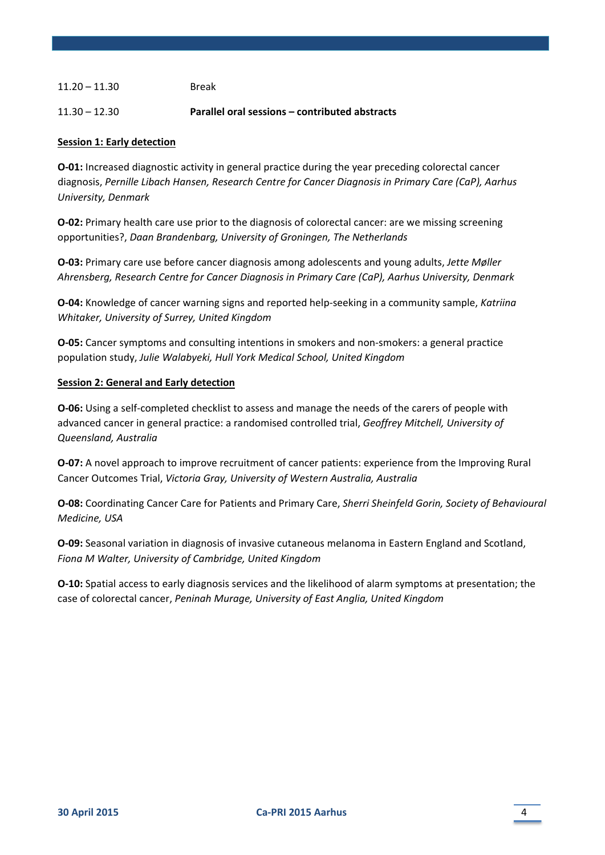# 11.20 – 11.30 Break

#### 11.30 – 12.30 **Parallel oral sessions – contributed abstracts**

#### **Session 1: Early detection**

**O-01:** Increased diagnostic activity in general practice during the year preceding colorectal cancer diagnosis, *Pernille Libach Hansen, Research Centre for Cancer Diagnosis in Primary Care (CaP), Aarhus University, Denmark*

**O-02:** Primary health care use prior to the diagnosis of colorectal cancer: are we missing screening opportunities?, *Daan Brandenbarg, University of Groningen, The Netherlands*

**O‐03:** Primary care use before cancer diagnosis among adolescents and young adults, *Jette Møller Ahrensberg, Research Centre for Cancer Diagnosis in Primary Care (CaP), Aarhus University, Denmark*

**O‐04:** Knowledge of cancer warning signs and reported help‐seeking in a community sample, *Katriina Whitaker, University of Surrey, United Kingdom*

**O**-05: Cancer symptoms and consulting intentions in smokers and non-smokers: a general practice population study, *Julie Walabyeki, Hull York Medical School, United Kingdom*

#### **Session 2: General and Early detection**

**O-06:** Using a self-completed checklist to assess and manage the needs of the carers of people with advanced cancer in general practice: a randomised controlled trial, *Geoffrey Mitchell, University of Queensland, Australia*

**O-07:** A novel approach to improve recruitment of cancer patients: experience from the Improving Rural Cancer Outcomes Trial, *Victoria Gray, University of Western Australia, Australia*

**O‐08:** Coordinating Cancer Care for Patients and Primary Care, *Sherri Sheinfeld Gorin, Society of Behavioural Medicine, USA*

**O‐09:** Seasonal variation in diagnosis of invasive cutaneous melanoma in Eastern England and Scotland, *Fiona M Walter, University of Cambridge, United Kingdom*

**O‐10:** Spatial access to early diagnosis services and the likelihood of alarm symptoms at presentation; the case of colorectal cancer, *Peninah Murage, University of East Anglia, United Kingdom*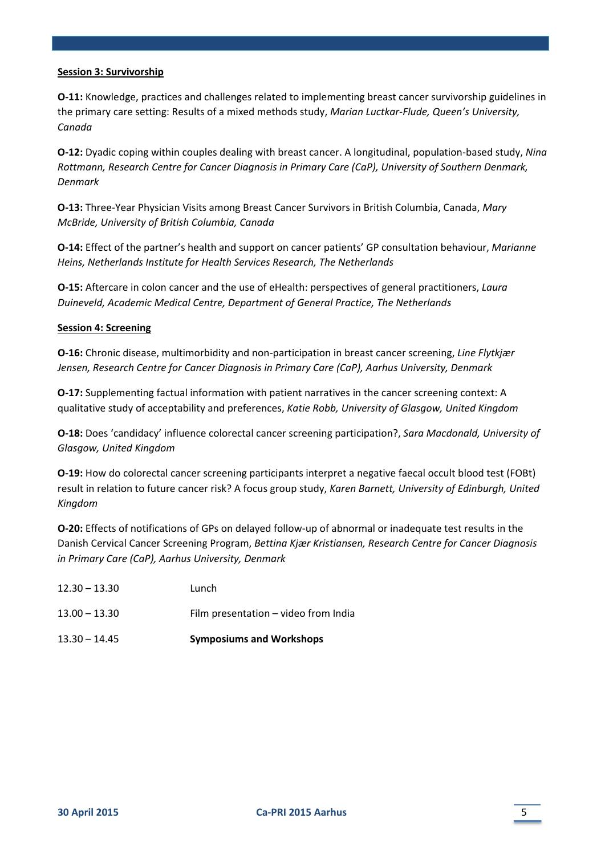#### **Session 3: Survivorship**

**O‐11:** Knowledge, practices and challenges related to implementing breast cancer survivorship guidelines in the primary care setting: Results of a mixed methods study, *Marian Luctkar‐Flude, Queen's University, Canada*

**O‐12:** Dyadic coping within couples dealing with breast cancer. A longitudinal, population‐based study, *Nina Rottmann, Research Centre for Cancer Diagnosis in Primary Care (CaP), University of Southern Denmark, Denmark*

**O‐13:** Three‐Year Physician Visits among Breast Cancer Survivors in British Columbia, Canada, *Mary McBride, University of British Columbia, Canada*

**O‐14:** Effect of the partner's health and support on cancer patients' GP consultation behaviour, *Marianne Heins, Netherlands Institute for Health Services Research, The Netherlands*

**O‐15:** Aftercare in colon cancer and the use of eHealth: perspectives of general practitioners, *Laura Duineveld, Academic Medical Centre, Department of General Practice, The Netherlands*

#### **Session 4: Screening**

**O‐16:** Chronic disease, multimorbidity and non‐participation in breast cancer screening, *Line Flytkjær Jensen, Research Centre for Cancer Diagnosis in Primary Care (CaP), Aarhus University, Denmark*

**O-17:** Supplementing factual information with patient narratives in the cancer screening context: A qualitative study of acceptability and preferences, *Katie Robb, University of Glasgow, United Kingdom*

**O‐18:** Does 'candidacy' influence colorectal cancer screening participation?, *Sara Macdonald, University of Glasgow, United Kingdom*

**O‐19:** How do colorectal cancer screening participants interpret a negative faecal occult blood test (FOBt) result in relation to future cancer risk? A focus group study, *Karen Barnett, University of Edinburgh, United Kingdom*

**O‐20:** Effects of notifications of GPs on delayed follow‐up of abnormal or inadequate test results in the Danish Cervical Cancer Screening Program, *Bettina Kjær Kristiansen, Research Centre for Cancer Diagnosis in Primary Care (CaP), Aarhus University, Denmark*

| $13.30 - 14.45$ | <b>Symposiums and Workshops</b>      |
|-----------------|--------------------------------------|
| $13.00 - 13.30$ | Film presentation - video from India |
| $12.30 - 13.30$ | Lunch                                |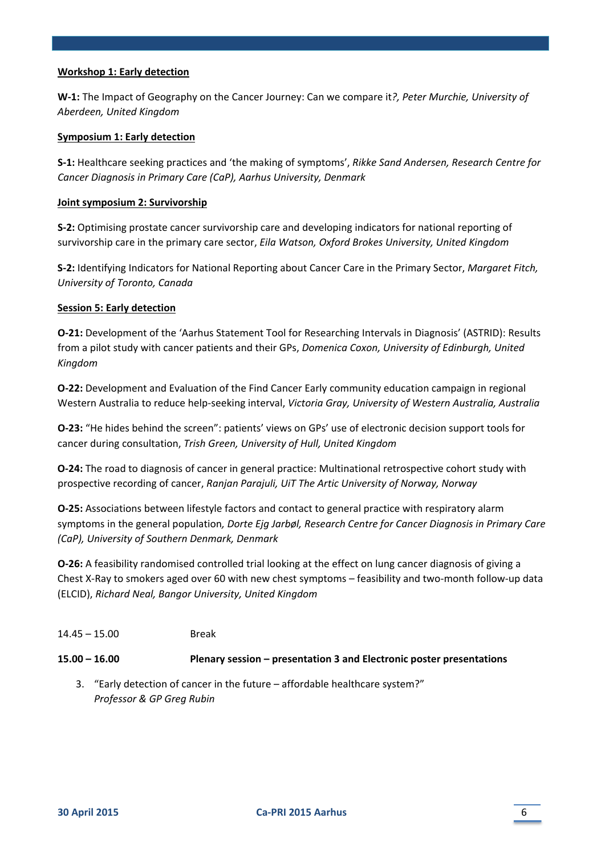# **Workshop 1: Early detection**

**W‐1:** The Impact of Geography on the Cancer Journey: Can we compare it*?, Peter Murchie, University of Aberdeen, United Kingdom*

#### **Symposium 1: Early detection**

**S‐1:** Healthcare seeking practices and 'the making of symptoms', *Rikke Sand Andersen, Research Centre for Cancer Diagnosis in Primary Care (CaP), Aarhus University, Denmark*

#### **Joint symposium 2: Survivorship**

**S‐2:** Optimising prostate cancer survivorship care and developing indicators for national reporting of survivorship care in the primary care sector, *Eila Watson, Oxford Brokes University, United Kingdom*

**S‐2:** Identifying Indicators for National Reporting about Cancer Care in the Primary Sector, *Margaret Fitch, University of Toronto, Canada*

#### **Session 5: Early detection**

**O‐21:** Development of the 'Aarhus Statement Tool for Researching Intervals in Diagnosis' (ASTRID): Results from a pilot study with cancer patients and their GPs, *Domenica Coxon, University of Edinburgh, United Kingdom*

**O‐22:** Development and Evaluation of the Find Cancer Early community education campaign in regional Western Australia to reduce help‐seeking interval, *Victoria Gray, University of Western Australia, Australia*

**O‐23:** "He hides behind the screen": patients' views on GPs' use of electronic decision support tools for cancer during consultation, *Trish Green, University of Hull, United Kingdom*

**O‐24:** The road to diagnosis of cancer in general practice: Multinational retrospective cohort study with prospective recording of cancer, *Ranjan Parajuli, UiT The Artic University of Norway, Norway*

**O‐25:** Associations between lifestyle factors and contact to general practice with respiratory alarm symptoms in the general population*, Dorte Ejg Jarbøl, Research Centre for Cancer Diagnosis in Primary Care (CaP), University of Southern Denmark, Denmark*

**O‐26:** A feasibility randomised controlled trial looking at the effect on lung cancer diagnosis of giving a Chest X‐Ray to smokers aged over 60 with new chest symptoms – feasibility and two‐month follow‐up data (ELCID), *Richard Neal, Bangor University, United Kingdom*

# 14.45 – 15.00 Break

# **15.00 – 16.00 Plenary session – presentation 3 and Electronic poster presentations**

3. "Early detection of cancer in the future – affordable healthcare system?" *Professor & GP Greg Rubin*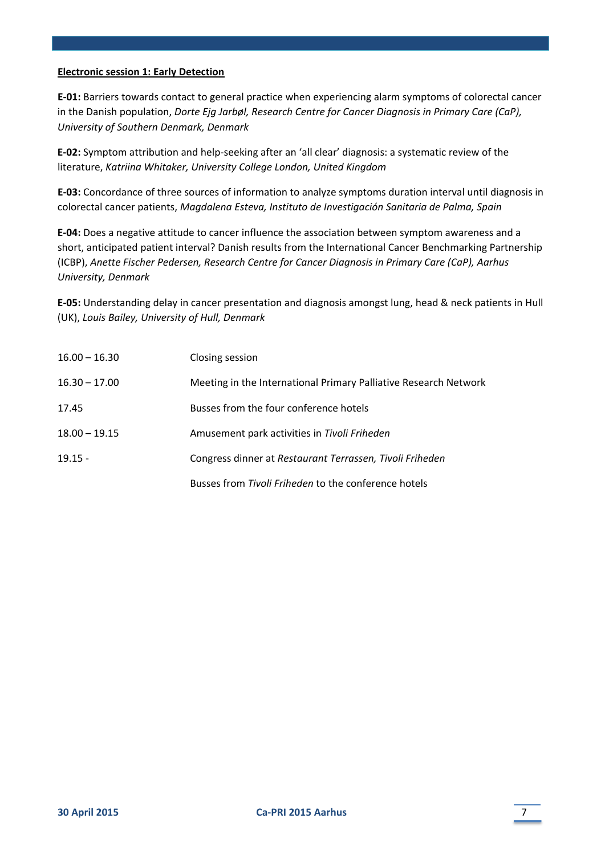#### **Electronic session 1: Early Detection**

**E‐01:** Barriers towards contact to general practice when experiencing alarm symptoms of colorectal cancer in the Danish population, *Dorte Ejg Jarbøl, Research Centre for Cancer Diagnosis in Primary Care (CaP), University of Southern Denmark, Denmark*

**E‐02:** Symptom attribution and help‐seeking after an 'all clear' diagnosis: a systematic review of the literature, *Katriina Whitaker, University College London, United Kingdom*

**E‐03:** Concordance of three sources of information to analyze symptoms duration interval until diagnosis in colorectal cancer patients, *Magdalena Esteva, Instituto de Investigación Sanitaria de Palma, Spain*

**E‐04:** Does a negative attitude to cancer influence the association between symptom awareness and a short, anticipated patient interval? Danish results from the International Cancer Benchmarking Partnership (ICBP), *Anette Fischer Pedersen, Research Centre for Cancer Diagnosis in Primary Care (CaP), Aarhus University, Denmark*

**E‐05:** Understanding delay in cancer presentation and diagnosis amongst lung, head & neck patients in Hull (UK), *Louis Bailey, University of Hull, Denmark*

| $16.00 - 16.30$ | Closing session                                                  |
|-----------------|------------------------------------------------------------------|
| $16.30 - 17.00$ | Meeting in the International Primary Palliative Research Network |
| 17.45           | Busses from the four conference hotels                           |
| $18.00 - 19.15$ | Amusement park activities in Tivoli Friheden                     |
| $19.15 -$       | Congress dinner at Restaurant Terrassen, Tivoli Friheden         |
|                 | Busses from Tivoli Friheden to the conference hotels             |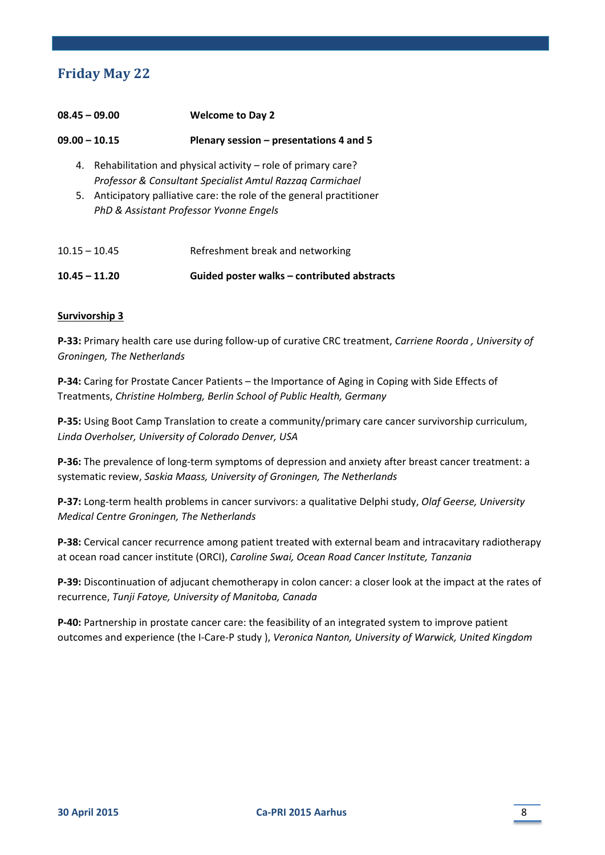# **Friday May** 22

| $08.45 - 09.00$ |                                                                                                               | <b>Welcome to Day 2</b>                                                                                                   |  |
|-----------------|---------------------------------------------------------------------------------------------------------------|---------------------------------------------------------------------------------------------------------------------------|--|
| $09.00 - 10.15$ |                                                                                                               | Plenary session $-$ presentations 4 and 5                                                                                 |  |
| 4.              |                                                                                                               | Rehabilitation and physical activity – role of primary care?<br>Professor & Consultant Specialist Amtul Razzaq Carmichael |  |
| 5.              | Anticipatory palliative care: the role of the general practitioner<br>PhD & Assistant Professor Yvonne Engels |                                                                                                                           |  |
| $10.15 - 10.45$ |                                                                                                               | Refreshment break and networking                                                                                          |  |

**10.45 – 11.20 Guided poster walks – contributed abstracts**

# **Survivorship 3**

**P‐33:** Primary health care use during follow‐up of curative CRC treatment, *Carriene Roorda , University of Groningen, The Netherlands*

**P‐34:** Caring for Prostate Cancer Patients – the Importance of Aging in Coping with Side Effects of Treatments, *Christine Holmberg, Berlin School of Public Health, Germany*

**P‐35:** Using Boot Camp Translation to create a community/primary care cancer survivorship curriculum, *Linda Overholser, University of Colorado Denver, USA*

**P‐36:** The prevalence of long‐term symptoms of depression and anxiety after breast cancer treatment: a systematic review, *Saskia Maass, University of Groningen, The Netherlands*

**P‐37:** Long‐term health problems in cancer survivors: a qualitative Delphi study, *Olaf Geerse, University Medical Centre Groningen, The Netherlands*

**P‐38:** Cervical cancer recurrence among patient treated with external beam and intracavitary radiotherapy at ocean road cancer institute (ORCI), *Caroline Swai, Ocean Road Cancer Institute, Tanzania*

**P‐39:** Discontinuation of adjucant chemotherapy in colon cancer: a closer look at the impact at the rates of recurrence, *Tunji Fatoye, University of Manitoba, Canada*

**P‐40:** Partnership in prostate cancer care: the feasibility of an integrated system to improve patient outcomes and experience (the I‐Care‐P study ), *Veronica Nanton, University of Warwick, United Kingdom*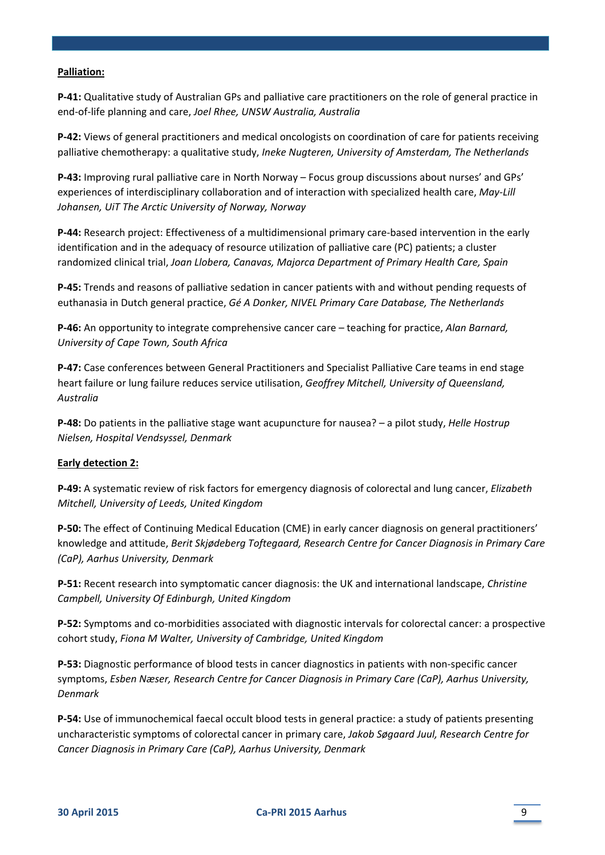# **Palliation:**

**P‐41:** Qualitative study of Australian GPs and palliative care practitioners on the role of general practice in end‐of‐life planning and care, *Joel Rhee, UNSW Australia, Australia*

**P‐42:** Views of general practitioners and medical oncologists on coordination of care for patients receiving palliative chemotherapy: a qualitative study, *Ineke Nugteren, University of Amsterdam, The Netherlands*

**P‐43:** Improving rural palliative care in North Norway – Focus group discussions about nurses' and GPs' experiences of interdisciplinary collaboration and of interaction with specialized health care, *May‐Lill Johansen, UiT The Arctic University of Norway, Norway*

**P‐44:** Research project: Effectiveness of a multidimensional primary care‐based intervention in the early identification and in the adequacy of resource utilization of palliative care (PC) patients; a cluster randomized clinical trial, *Joan Llobera, Canavas, Majorca Department of Primary Health Care, Spain*

**P‐45:** Trends and reasons of palliative sedation in cancer patients with and without pending requests of euthanasia in Dutch general practice, *Gé A Donker, NIVEL Primary Care Database, The Netherlands*

**P‐46:** An opportunity to integrate comprehensive cancer care – teaching for practice, *Alan Barnard, University of Cape Town, South Africa*

**P‐47:** Case conferences between General Practitioners and Specialist Palliative Care teams in end stage heart failure or lung failure reduces service utilisation, *Geoffrey Mitchell, University of Queensland, Australia*

**P‐48:** Do patients in the palliative stage want acupuncture for nausea? – a pilot study, *Helle Hostrup Nielsen, Hospital Vendsyssel, Denmark*

#### **Early detection 2:**

**P‐49:** A systematic review of risk factors for emergency diagnosis of colorectal and lung cancer, *Elizabeth Mitchell, University of Leeds, United Kingdom*

**P‐50:** The effect of Continuing Medical Education (CME) in early cancer diagnosis on general practitioners' knowledge and attitude, *Berit Skjødeberg Toftegaard, Research Centre for Cancer Diagnosis in Primary Care (CaP), Aarhus University, Denmark*

**P‐51:** Recent research into symptomatic cancer diagnosis: the UK and international landscape, *Christine Campbell, University Of Edinburgh, United Kingdom*

**P‐52:** Symptoms and co‐morbidities associated with diagnostic intervals for colorectal cancer: a prospective cohort study, *Fiona M Walter, University of Cambridge, United Kingdom*

**P‐53:** Diagnostic performance of blood tests in cancer diagnostics in patients with non‐specific cancer symptoms, *Esben Næser, Research Centre for Cancer Diagnosis in Primary Care (CaP), Aarhus University, Denmark*

**P‐54:** Use of immunochemical faecal occult blood tests in general practice: a study of patients presenting uncharacteristic symptoms of colorectal cancer in primary care, *Jakob Søgaard Juul, Research Centre for Cancer Diagnosis in Primary Care (CaP), Aarhus University, Denmark*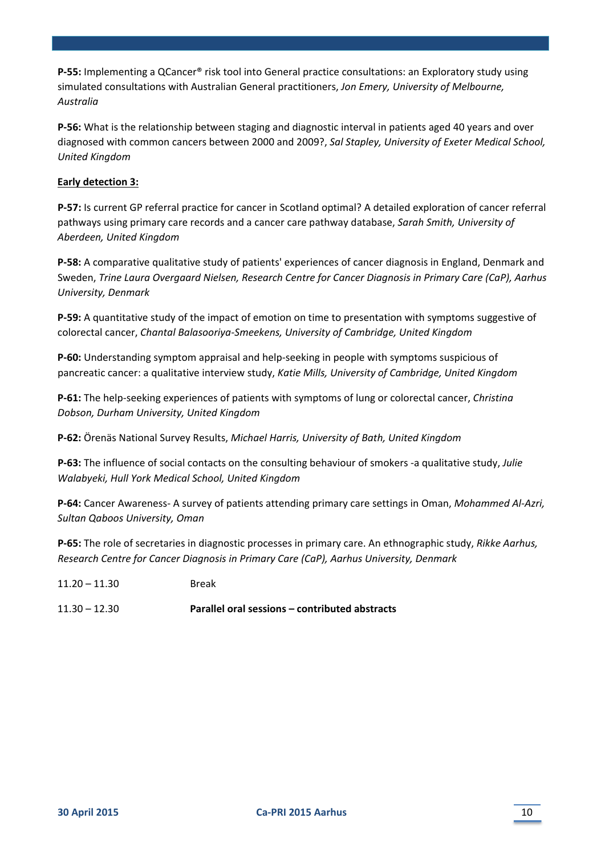**P‐55:** Implementing a QCancer® risk tool into General practice consultations: an Exploratory study using simulated consultations with Australian General practitioners, *Jon Emery, University of Melbourne, Australia*

**P‐56:** What is the relationship between staging and diagnostic interval in patients aged 40 years and over diagnosed with common cancers between 2000 and 2009?, *Sal Stapley, University of Exeter Medical School, United Kingdom*

# **Early detection 3:**

**P‐57:** Is current GP referral practice for cancer in Scotland optimal? A detailed exploration of cancer referral pathways using primary care records and a cancer care pathway database, *Sarah Smith, University of Aberdeen, United Kingdom*

**P‐58:** A comparative qualitative study of patients' experiences of cancer diagnosis in England, Denmark and Sweden, *Trine Laura Overgaard Nielsen, Research Centre for Cancer Diagnosis in Primary Care (CaP), Aarhus University, Denmark*

**P‐59:** A quantitative study of the impact of emotion on time to presentation with symptoms suggestive of colorectal cancer, *Chantal Balasooriya‐Smeekens, University of Cambridge, United Kingdom*

**P‐60:** Understanding symptom appraisal and help‐seeking in people with symptoms suspicious of pancreatic cancer: a qualitative interview study, *Katie Mills, University of Cambridge, United Kingdom*

**P‐61:** The help‐seeking experiences of patients with symptoms of lung or colorectal cancer, *Christina Dobson, Durham University, United Kingdom*

**P‐62:** Örenäs National Survey Results, *Michael Harris, University of Bath, United Kingdom*

**P‐63:** The influence of social contacts on the consulting behaviour of smokers ‐a qualitative study, *Julie Walabyeki, Hull York Medical School, United Kingdom*

**P‐64:** Cancer Awareness‐ A survey of patients attending primary care settings in Oman, *Mohammed Al‐Azri, Sultan Qaboos University, Oman*

**P‐65:** The role of secretaries in diagnostic processes in primary care. An ethnographic study, *Rikke Aarhus, Research Centre for Cancer Diagnosis in Primary Care (CaP), Aarhus University, Denmark*

- 11.20 11.30 Break
- 11.30 12.30 **Parallel oral sessions – contributed abstracts**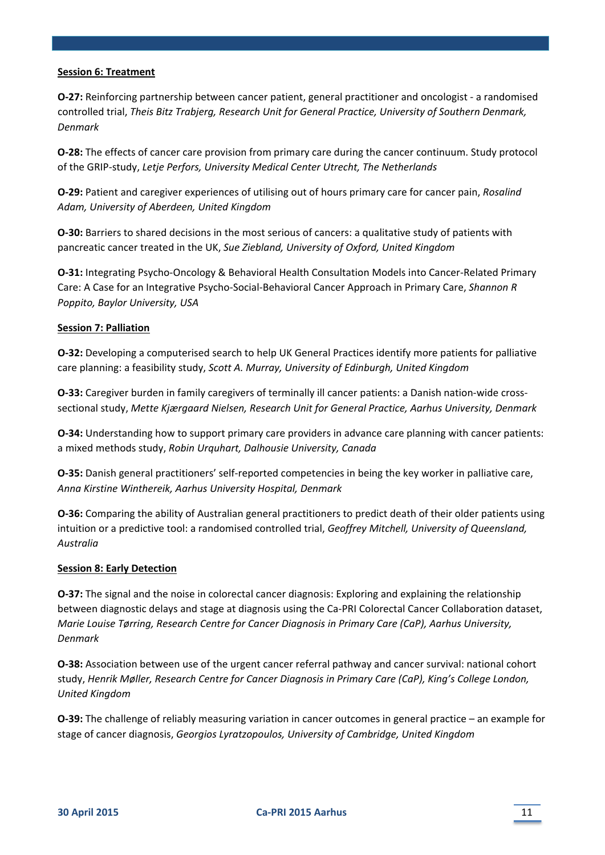# **Session 6: Treatment**

**O‐27:** Reinforcing partnership between cancer patient, general practitioner and oncologist ‐ a randomised controlled trial, *Theis Bitz Trabjerg, Research Unit for General Practice, University of Southern Denmark, Denmark*

**O‐28:** The effects of cancer care provision from primary care during the cancer continuum. Study protocol of the GRIP‐study, *Letje Perfors, University Medical Center Utrecht, The Netherlands*

**O‐29:** Patient and caregiver experiences of utilising out of hours primary care for cancer pain, *Rosalind Adam, University of Aberdeen, United Kingdom*

**O‐30:** Barriers to shared decisions in the most serious of cancers: a qualitative study of patients with pancreatic cancer treated in the UK, *Sue Ziebland, University of Oxford, United Kingdom*

**O‐31:** Integrating Psycho‐Oncology & Behavioral Health Consultation Models into Cancer‐Related Primary Care: A Case for an Integrative Psycho‐Social‐Behavioral Cancer Approach in Primary Care, *Shannon R Poppito, Baylor University, USA*

# **Session 7: Palliation**

**O‐32:** Developing a computerised search to help UK General Practices identify more patients for palliative care planning: a feasibility study, *Scott A. Murray, University of Edinburgh, United Kingdom*

**O‐33:** Caregiver burden in family caregivers of terminally ill cancer patients: a Danish nation‐wide cross‐ sectional study, *Mette Kjærgaard Nielsen, Research Unit for General Practice, Aarhus University, Denmark*

**O‐34:** Understanding how to support primary care providers in advance care planning with cancer patients: a mixed methods study, *Robin Urquhart, Dalhousie University, Canada*

**O‐35:** Danish general practitioners' self‐reported competencies in being the key worker in palliative care, *Anna Kirstine Winthereik, Aarhus University Hospital, Denmark*

**O‐36:** Comparing the ability of Australian general practitioners to predict death of their older patients using intuition or a predictive tool: a randomised controlled trial, *Geoffrey Mitchell, University of Queensland, Australia*

# **Session 8: Early Detection**

**O**-37: The signal and the noise in colorectal cancer diagnosis: Exploring and explaining the relationship between diagnostic delays and stage at diagnosis using the Ca‐PRI Colorectal Cancer Collaboration dataset, *Marie Louise Tørring, Research Centre for Cancer Diagnosis in Primary Care (CaP), Aarhus University, Denmark*

**O‐38:** Association between use of the urgent cancer referral pathway and cancer survival: national cohort study, *Henrik Møller, Research Centre for Cancer Diagnosis in Primary Care (CaP), King's College London, United Kingdom*

**O-39:** The challenge of reliably measuring variation in cancer outcomes in general practice – an example for stage of cancer diagnosis, *Georgios Lyratzopoulos, University of Cambridge, United Kingdom*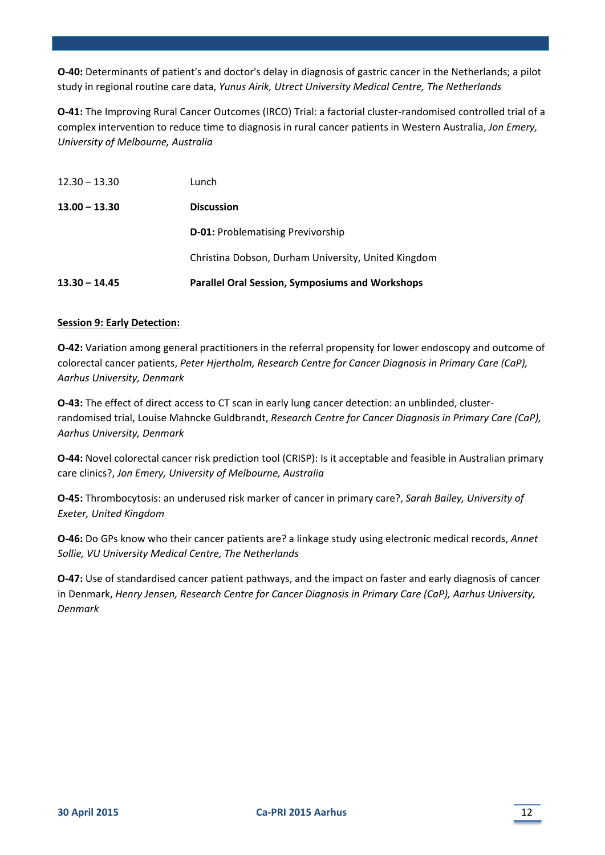**O‐40:** Determinants of patient's and doctor's delay in diagnosis of gastric cancer in the Netherlands; a pilot study in regional routine care data, *Yunus Airik, Utrect University Medical Centre, The Netherlands*

**O‐41:** The Improving Rural Cancer Outcomes (IRCO) Trial: a factorial cluster‐randomised controlled trial of a complex intervention to reduce time to diagnosis in rural cancer patients in Western Australia, *Jon Emery, University of Melbourne, Australia*

| $13.30 - 14.45$ | <b>Parallel Oral Session, Symposiums and Workshops</b> |
|-----------------|--------------------------------------------------------|
|                 | Christina Dobson, Durham University, United Kingdom    |
|                 | <b>D-01: Problematising Previvorship</b>               |
| $13.00 - 13.30$ | <b>Discussion</b>                                      |
| $12.30 - 13.30$ | Lunch                                                  |

#### **Session 9: Early Detection:**

**O-42:** Variation among general practitioners in the referral propensity for lower endoscopy and outcome of colorectal cancer patients, *Peter Hjertholm, Research Centre for Cancer Diagnosis in Primary Care (CaP), Aarhus University, Denmark*

**O‐43:** The effect of direct access to CT scan in early lung cancer detection: an unblinded, cluster‐ randomised trial, Louise Mahncke Guldbrandt, *Research Centre for Cancer Diagnosis in Primary Care (CaP), Aarhus University, Denmark*

**O‐44:** Novel colorectal cancer risk prediction tool (CRISP): Is it acceptable and feasible in Australian primary care clinics?, *Jon Emery, University of Melbourne, Australia*

**O‐45:** Thrombocytosis: an underused risk marker of cancer in primary care?, *Sarah Bailey, University of Exeter, United Kingdom*

**O‐46:** Do GPs know who their cancer patients are? a linkage study using electronic medical records, *Annet Sollie, VU University Medical Centre, The Netherlands*

**O-47:** Use of standardised cancer patient pathways, and the impact on faster and early diagnosis of cancer in Denmark, *Henry Jensen, Research Centre for Cancer Diagnosis in Primary Care (CaP), Aarhus University, Denmark*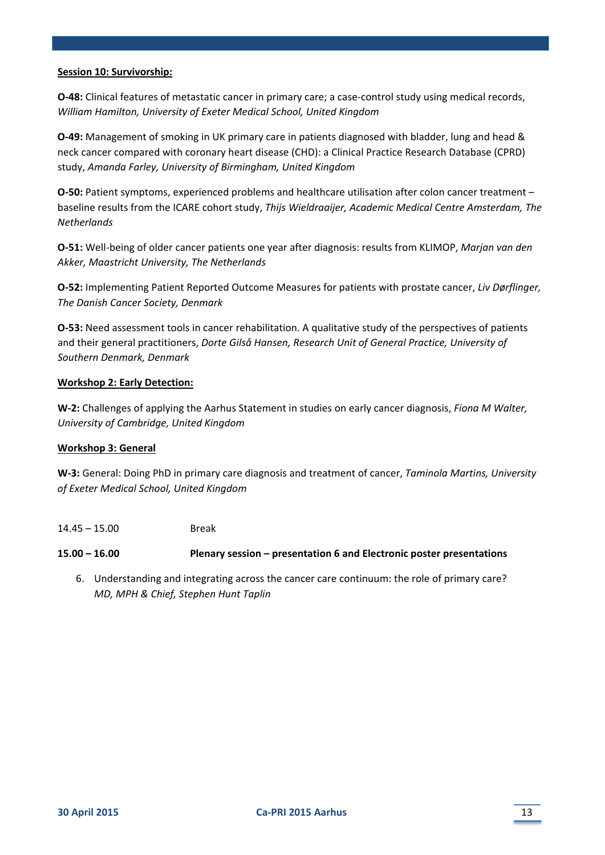#### **Session 10: Survivorship:**

**O‐48:** Clinical features of metastatic cancer in primary care; a case‐control study using medical records, *William Hamilton, University of Exeter Medical School, United Kingdom*

**O‐49:** Management of smoking in UK primary care in patients diagnosed with bladder, lung and head & neck cancer compared with coronary heart disease (CHD): a Clinical Practice Research Database (CPRD) study, *Amanda Farley, University of Birmingham, United Kingdom*

**O-50:** Patient symptoms, experienced problems and healthcare utilisation after colon cancer treatment – baseline results from the ICARE cohort study, *Thijs Wieldraaijer, Academic Medical Centre Amsterdam, The Netherlands*

**O‐51:** Well‐being of older cancer patients one year after diagnosis: results from KLIMOP, *Marjan van den Akker, Maastricht University, The Netherlands*

**O‐52:** Implementing Patient Reported Outcome Measures for patients with prostate cancer, *Liv Dørflinger, The Danish Cancer Society, Denmark*

**O‐53:** Need assessment tools in cancer rehabilitation. A qualitative study of the perspectives of patients and their general practitioners, *Dorte Gilså Hansen, Research Unit of General Practice, University of Southern Denmark, Denmark*

# **Workshop 2: Early Detection:**

**W‐2:** Challenges of applying the Aarhus Statement in studies on early cancer diagnosis, *Fiona M Walter, University of Cambridge, United Kingdom*

#### **Workshop 3: General**

**W‐3:** General: Doing PhD in primary care diagnosis and treatment of cancer, *Taminola Martins, University of Exeter Medical School, United Kingdom*

14.45 – 15.00 Break

**15.00 – 16.00 Plenary session – presentation 6 and Electronic poster presentations**

6. Understanding and integrating across the cancer care continuum: the role of primary care? *MD, MPH & Chief, Stephen Hunt Taplin*